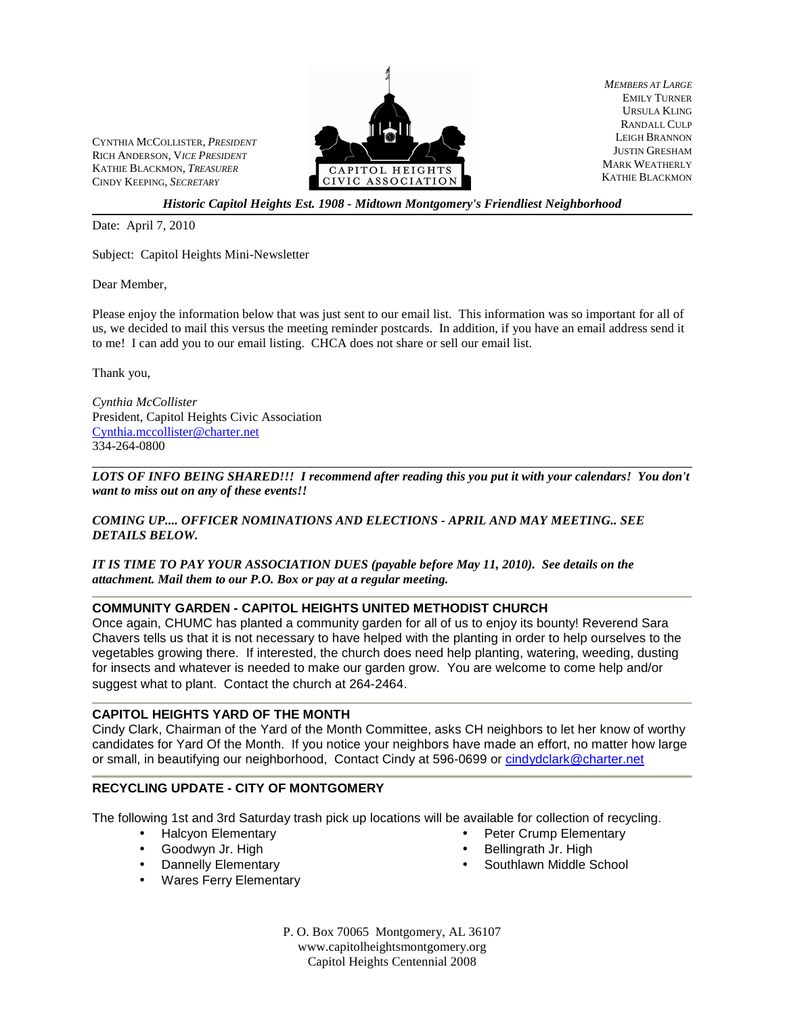CYNTHIA MCCOLLISTER, *PRESIDENT* RICH ANDERSON, V*ICE PRESIDENT* KATHIE BLACKMON, *TREASURER* CINDY KEEPING, *SECRETARY*



*MEMBERS AT LARGE* EMILY TURNER URSULA KLING RANDALL CULP LEIGH BRANNON JUSTIN GRESHAM MARK WEATHERLY KATHIE BLACKMON

*Historic Capitol Heights Est. 1908 - Midtown Montgomery's Friendliest Neighborhood*

Date: April 7, 2010

Subject: Capitol Heights Mini-Newsletter

Dear Member,

Please enjoy the information below that was just sent to our email list. This information was so important for all of us, we decided to mail this versus the meeting reminder postcards. In addition, if you have an email address send it to me! I can add you to our email listing. CHCA does not share or sell our email list.

Thank you,

l

*Cynthia McCollister*  President, Capitol Heights Civic Association Cynthia.mccollister@charter.net 334-264-0800

*LOTS OF INFO BEING SHARED!!! I recommend after reading this you put it with your calendars! You don't want to miss out on any of these events!!*

*COMING UP.... OFFICER NOMINATIONS AND ELECTIONS - APRIL AND MAY MEETING.. SEE DETAILS BELOW.*

*IT IS TIME TO PAY YOUR ASSOCIATION DUES (payable before May 11, 2010). See details on the attachment. Mail them to our P.O. Box or pay at a regular meeting.* 

### **COMMUNITY GARDEN - CAPITOL HEIGHTS UNITED METHODIST CHURCH**

Once again, CHUMC has planted a community garden for all of us to enjoy its bounty! Reverend Sara Chavers tells us that it is not necessary to have helped with the planting in order to help ourselves to the vegetables growing there. If interested, the church does need help planting, watering, weeding, dusting for insects and whatever is needed to make our garden grow. You are welcome to come help and/or suggest what to plant. Contact the church at 264-2464.

### **CAPITOL HEIGHTS YARD OF THE MONTH**

Cindy Clark, Chairman of the Yard of the Month Committee, asks CH neighbors to let her know of worthy candidates for Yard Of the Month. If you notice your neighbors have made an effort, no matter how large or small, in beautifying our neighborhood, Contact Cindy at 596-0699 or cindydclark@charter.net

### **RECYCLING UPDATE - CITY OF MONTGOMERY**

The following 1st and 3rd Saturday trash pick up locations will be available for collection of recycling.

- Halcyon Elementary
- Goodwyn Jr. High
- Dannelly Elementary
- Wares Ferry Elementary
- Peter Crump Elementary
- Bellingrath Jr. High
- Southlawn Middle School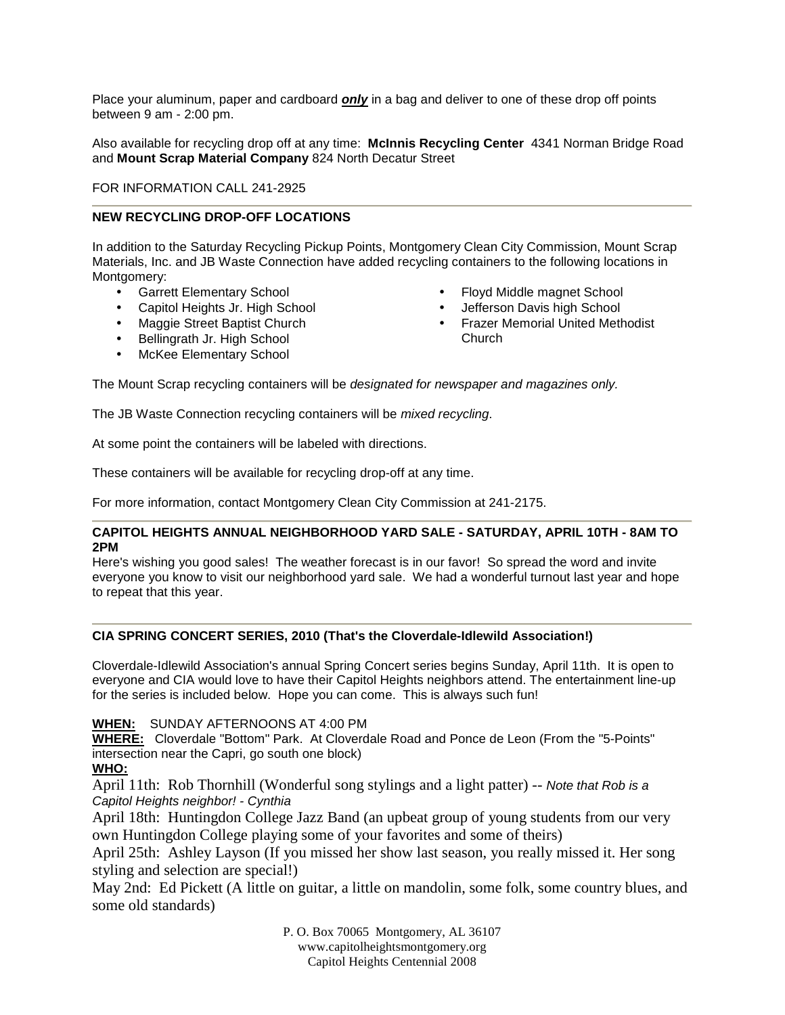Place your aluminum, paper and cardboard **only** in a bag and deliver to one of these drop off points between 9 am - 2:00 pm.

Also available for recycling drop off at any time: **McInnis Recycling Center** 4341 Norman Bridge Road and **Mount Scrap Material Company** 824 North Decatur Street

FOR INFORMATION CALL 241-2925

## **NEW RECYCLING DROP-OFF LOCATIONS**

In addition to the Saturday Recycling Pickup Points, Montgomery Clean City Commission, Mount Scrap Materials, Inc. and JB Waste Connection have added recycling containers to the following locations in Montgomery:

- Garrett Elementary School
- Capitol Heights Jr. High School
- Maggie Street Baptist Church
- Bellingrath Jr. High School
- McKee Elementary School
- Floyd Middle magnet School
- Jefferson Davis high School
- Frazer Memorial United Methodist Church

The Mount Scrap recycling containers will be designated for newspaper and magazines only.

The JB Waste Connection recycling containers will be mixed recycling.

At some point the containers will be labeled with directions.

These containers will be available for recycling drop-off at any time.

For more information, contact Montgomery Clean City Commission at 241-2175.

## **CAPITOL HEIGHTS ANNUAL NEIGHBORHOOD YARD SALE - SATURDAY, APRIL 10TH - 8AM TO 2PM**

Here's wishing you good sales! The weather forecast is in our favor! So spread the word and invite everyone you know to visit our neighborhood yard sale. We had a wonderful turnout last year and hope to repeat that this year.

### **CIA SPRING CONCERT SERIES, 2010 (That's the Cloverdale-Idlewild Association!)**

Cloverdale-Idlewild Association's annual Spring Concert series begins Sunday, April 11th. It is open to everyone and CIA would love to have their Capitol Heights neighbors attend. The entertainment line-up for the series is included below. Hope you can come. This is always such fun!

**WHEN:** SUNDAY AFTERNOONS AT 4:00 PM

**WHERE:** Cloverdale "Bottom" Park. At Cloverdale Road and Ponce de Leon (From the "5-Points" intersection near the Capri, go south one block)

# **WHO:**

April 11th: Rob Thornhill (Wonderful song stylings and a light patter) -- Note that Rob is a Capitol Heights neighbor! - Cynthia

April 18th: Huntingdon College Jazz Band (an upbeat group of young students from our very own Huntingdon College playing some of your favorites and some of theirs)

April 25th: Ashley Layson (If you missed her show last season, you really missed it. Her song styling and selection are special!)

May 2nd: Ed Pickett (A little on guitar, a little on mandolin, some folk, some country blues, and some old standards)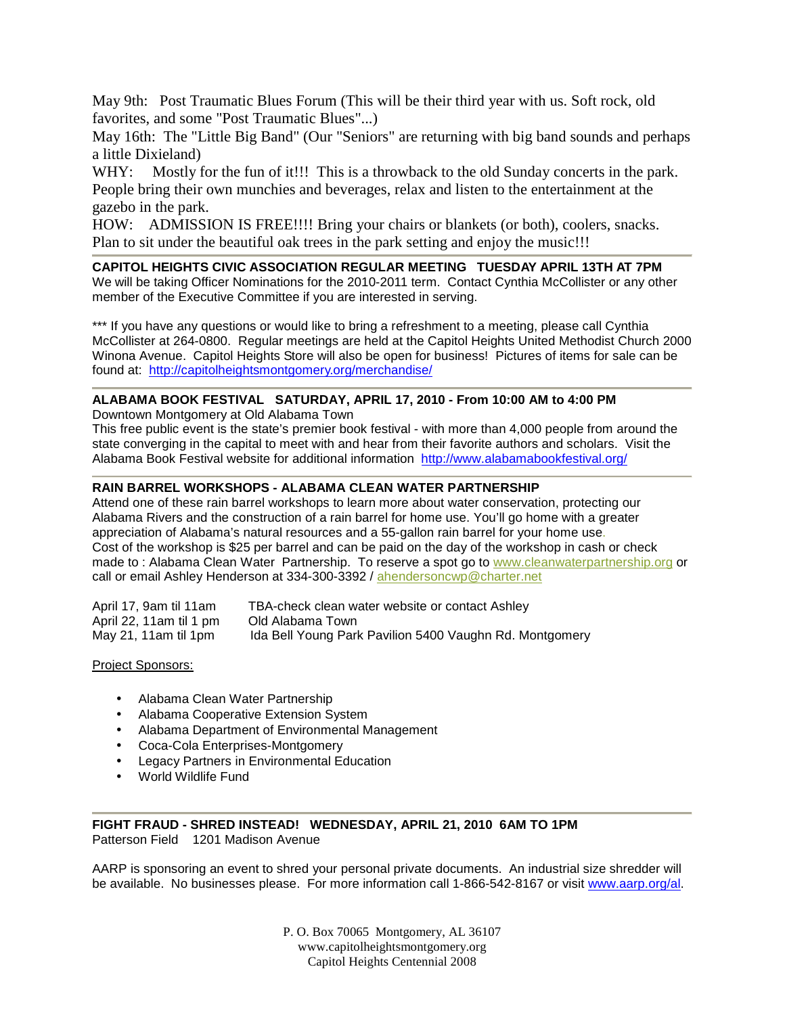May 9th: Post Traumatic Blues Forum (This will be their third year with us. Soft rock, old favorites, and some "Post Traumatic Blues"...)

May 16th: The "Little Big Band" (Our "Seniors" are returning with big band sounds and perhaps a little Dixieland)

WHY: Mostly for the fun of it!!! This is a throwback to the old Sunday concerts in the park. People bring their own munchies and beverages, relax and listen to the entertainment at the gazebo in the park.

HOW: ADMISSION IS FREE!!!! Bring your chairs or blankets (or both), coolers, snacks. Plan to sit under the beautiful oak trees in the park setting and enjoy the music!!!

## **CAPITOL HEIGHTS CIVIC ASSOCIATION REGULAR MEETING TUESDAY APRIL 13TH AT 7PM**

We will be taking Officer Nominations for the 2010-2011 term. Contact Cynthia McCollister or any other member of the Executive Committee if you are interested in serving.

\*\*\* If you have any questions or would like to bring a refreshment to a meeting, please call Cynthia McCollister at 264-0800. Regular meetings are held at the Capitol Heights United Methodist Church 2000 Winona Avenue. Capitol Heights Store will also be open for business! Pictures of items for sale can be found at: http://capitolheightsmontgomery.org/merchandise/

# **ALABAMA BOOK FESTIVAL SATURDAY, APRIL 17, 2010 - From 10:00 AM to 4:00 PM**

Downtown Montgomery at Old Alabama Town

This free public event is the state's premier book festival - with more than 4,000 people from around the state converging in the capital to meet with and hear from their favorite authors and scholars. Visit the Alabama Book Festival website for additional information http://www.alabamabookfestival.org/

# **RAIN BARREL WORKSHOPS - ALABAMA CLEAN WATER PARTNERSHIP**

Attend one of these rain barrel workshops to learn more about water conservation, protecting our Alabama Rivers and the construction of a rain barrel for home use. You'll go home with a greater appreciation of Alabama's natural resources and a 55-gallon rain barrel for your home use. Cost of the workshop is \$25 per barrel and can be paid on the day of the workshop in cash or check made to : Alabama Clean Water Partnership. To reserve a spot go to www.cleanwaterpartnership.org or call or email Ashley Henderson at 334-300-3392 / ahendersoncwp@charter.net

| April 17, 9am til 11am  | TBA-check clean water website or contact Ashley         |
|-------------------------|---------------------------------------------------------|
| April 22, 11am til 1 pm | Old Alabama Town                                        |
| May 21, 11am til 1pm    | Ida Bell Young Park Pavilion 5400 Vaughn Rd. Montgomery |

## Project Sponsors:

- Alabama Clean Water Partnership
- Alabama Cooperative Extension System
- Alabama Department of Environmental Management
- Coca-Cola Enterprises-Montgomery
- Legacy Partners in Environmental Education
- World Wildlife Fund

**FIGHT FRAUD - SHRED INSTEAD! WEDNESDAY, APRIL 21, 2010 6AM TO 1PM** Patterson Field 1201 Madison Avenue

AARP is sponsoring an event to shred your personal private documents. An industrial size shredder will be available. No businesses please. For more information call 1-866-542-8167 or visit www.aarp.org/al.